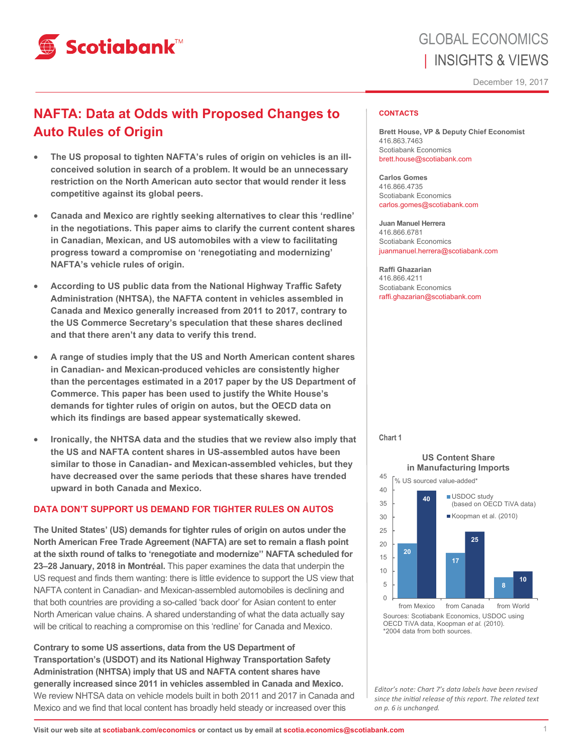

## **NAFTA: Data at Odds with Proposed Changes to Auto Rules of Origin**

- **The US proposal to tighten NAFTA's rules of origin on vehicles is an illconceived solution in search of a problem. It would be an unnecessary restriction on the North American auto sector that would render it less competitive against its global peers.**
- **Canada and Mexico are rightly seeking alternatives to clear this 'redline' in the negotiations. This paper aims to clarify the current content shares in Canadian, Mexican, and US automobiles with a view to facilitating progress toward a compromise on 'renegotiating and modernizing' NAFTA's vehicle rules of origin.**
- **According to US public data from the National Highway Traffic Safety Administration (NHTSA), the NAFTA content in vehicles assembled in Canada and Mexico generally increased from 2011 to 2017, contrary to the US Commerce Secretary's speculation that these shares declined and that there aren't any data to verify this trend.**
- **A range of studies imply that the US and North American content shares in Canadian- and Mexican-produced vehicles are consistently higher than the percentages estimated in a 2017 paper by the US Department of Commerce. This paper has been used to justify the White House's demands for tighter rules of origin on autos, but the OECD data on which its findings are based appear systematically skewed.**
- **Ironically, the NHTSA data and the studies that we review also imply that the US and NAFTA content shares in US-assembled autos have been similar to those in Canadian- and Mexican-assembled vehicles, but they have decreased over the same periods that these shares have trended upward in both Canada and Mexico.**

## **DATA DON'T SUPPORT US DEMAND FOR TIGHTER RULES ON AUTOS**

**The United States' (US) demands for tighter rules of origin on autos under the North American Free Trade Agreement (NAFTA) are set to remain a flash point at the sixth round of talks to 'renegotiate and modernize'' NAFTA scheduled for 23–28 January, 2018 in Montréal.** This paper examines the data that underpin the US request and finds them wanting: there is little evidence to support the US view that NAFTA content in Canadian- and Mexican-assembled automobiles is declining and that both countries are providing a so-called 'back door' for Asian content to enter North American value chains. A shared understanding of what the data actually say will be critical to reaching a compromise on this 'redline' for Canada and Mexico.

**Contrary to some US assertions, data from the US Department of Transportation's (USDOT) and its National Highway Transportation Safety Administration (NHTSA) imply that US and NAFTA content shares have generally increased since 2011 in vehicles assembled in Canada and Mexico.**  We review NHTSA data on vehicle models built in both 2011 and 2017 in Canada and Mexico and we find that local content has broadly held steady or increased over this

### **CONTACTS**

**Brett House, VP & Deputy Chief Economist**  416.863.7463 Scotiabank Economics brett.house@scotiabank.com

**Carlos Gomes**  416.866.4735 Scotiabank Economics carlos.gomes@scotiabank.com

**Juan Manuel Herrera**  416.866.6781 Scotiabank Economics juanmanuel.herrera@scotiabank.com

**Raffi Ghazarian**  416.866.4211 Scotiabank Economics raffi.ghazarian@scotiabank.com

#### **Chart 1**

45

#### **US Content Share in Manufacturing Imports**



OECD TiVA data, Koopman *et al.* (2010). \*2004 data from both sources.

*Editor's note: Chart 7's data labels have been revised since the iniƟal release of this report. The related text on p. 6 is unchanged.*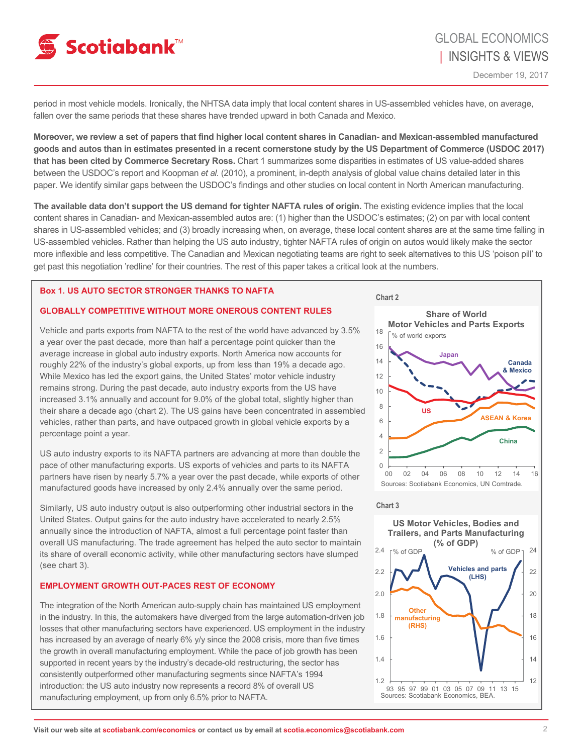

period in most vehicle models. Ironically, the NHTSA data imply that local content shares in US-assembled vehicles have, on average, fallen over the same periods that these shares have trended upward in both Canada and Mexico.

**Moreover, we review a set of papers that find higher local content shares in Canadian- and Mexican-assembled manufactured goods and autos than in estimates presented in a recent cornerstone study by the US Department of Commerce (USDOC 2017) that has been cited by Commerce Secretary Ross.** Chart 1 summarizes some disparities in estimates of US value-added shares between the USDOC's report and Koopman *et al.* (2010), a prominent, in-depth analysis of global value chains detailed later in this paper. We identify similar gaps between the USDOC's findings and other studies on local content in North American manufacturing.

**The available data don't support the US demand for tighter NAFTA rules of origin.** The existing evidence implies that the local content shares in Canadian- and Mexican-assembled autos are: (1) higher than the USDOC's estimates; (2) on par with local content shares in US-assembled vehicles; and (3) broadly increasing when, on average, these local content shares are at the same time falling in US-assembled vehicles. Rather than helping the US auto industry, tighter NAFTA rules of origin on autos would likely make the sector more inflexible and less competitive. The Canadian and Mexican negotiating teams are right to seek alternatives to this US 'poison pill' to get past this negotiation 'redline' for their countries. The rest of this paper takes a critical look at the numbers.

## **Box 1. US AUTO SECTOR STRONGER THANKS TO NAFTA**

## **GLOBALLY COMPETITIVE WITHOUT MORE ONEROUS CONTENT RULES**

Vehicle and parts exports from NAFTA to the rest of the world have advanced by 3.5% a year over the past decade, more than half a percentage point quicker than the average increase in global auto industry exports. North America now accounts for roughly 22% of the industry's global exports, up from less than 19% a decade ago. While Mexico has led the export gains, the United States' motor vehicle industry remains strong. During the past decade, auto industry exports from the US have increased 3.1% annually and account for 9.0% of the global total, slightly higher than their share a decade ago (chart 2). The US gains have been concentrated in assembled vehicles, rather than parts, and have outpaced growth in global vehicle exports by a percentage point a year.

US auto industry exports to its NAFTA partners are advancing at more than double the pace of other manufacturing exports. US exports of vehicles and parts to its NAFTA partners have risen by nearly 5.7% a year over the past decade, while exports of other manufactured goods have increased by only 2.4% annually over the same period.

Similarly, US auto industry output is also outperforming other industrial sectors in the United States. Output gains for the auto industry have accelerated to nearly 2.5% annually since the introduction of NAFTA, almost a full percentage point faster than overall US manufacturing. The trade agreement has helped the auto sector to maintain its share of overall economic activity, while other manufacturing sectors have slumped (see chart 3).

### **EMPLOYMENT GROWTH OUT-PACES REST OF ECONOMY**

The integration of the North American auto-supply chain has maintained US employment in the industry. In this, the automakers have diverged from the large automation-driven job losses that other manufacturing sectors have experienced. US employment in the industry has increased by an average of nearly 6% y/y since the 2008 crisis, more than five times the growth in overall manufacturing employment. While the pace of job growth has been supported in recent years by the industry's decade-old restructuring, the sector has consistently outperformed other manufacturing segments since NAFTA's 1994 introduction: the US auto industry now represents a record 8% of overall US manufacturing employment, up from only 6.5% prior to NAFTA.



<sup>12</sup> 1.2 93 95 97 99 01 03 05 07 09 11 13 15 Sources: Scotiabank Economics, BEA.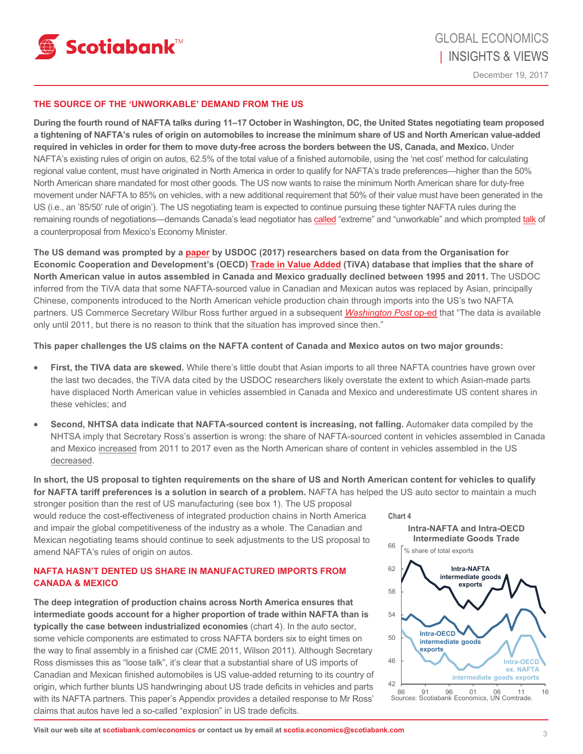

### **THE SOURCE OF THE 'UNWORKABLE' DEMAND FROM THE US**

**During the fourth round of NAFTA talks during 11–17 October in Washington, DC, the United States negotiating team proposed a tightening of NAFTA's rules of origin on automobiles to increase the minimum share of US and North American value-added required in vehicles in order for them to move duty-free across the borders between the US, Canada, and Mexico.** Under NAFTA's existing rules of origin on autos, 62.5% of the total value of a finished automobile, using the 'net cost' method for calculating regional value content, must have originated in North America in order to qualify for NAFTA's trade preferences—higher than the 50% North American share mandated for most other goods. The US now wants to raise the minimum North American share for duty-free movement under NAFTA to 85% on vehicles, with a new additional requirement that 50% of their value must have been generated in the US (i.e., an '85/50' rule of origin'). The US negotiating team is expected to continue pursuing these tighter NAFTA rules during the remaining rounds of negotiations—demands Canada's lead negotiator has [called](http://nationalpost.com/news/politics/five-extreme-nafta-proposals-by-u-s-that-canada-will-not-accept-according-to-our-lead-negotiator) "extreme" and "unworkable" and which prompted [talk](https://www.reuters.com/article/us-trade-nafta-guajardo/mexico-to-counter-u-s-nafta-auto-content-proposal-minister-idUSKBN1DM067) of a counterproposal from Mexico's Economy Minister.

**The US demand was prompted by a [paper](https://www.commerce.gov/sites/commerce.gov/files/us-produced-value-in-us-imports-from-nafta.pdf) by USDOC (2017) researchers based on data from the Organisation for Economic Cooperation and Development's (OECD) [Trade in Value Added](http://www.oecd.org/sti/ind/measuringtradeinvalue-addedanoecd-wtojointinitiative.htm) (TiVA) database that implies that the share of North American value in autos assembled in Canada and Mexico gradually declined between 1995 and 2011.** The USDOC inferred from the TiVA data that some NAFTA-sourced value in Canadian and Mexican autos was replaced by Asian, principally Chinese, components introduced to the North American vehicle production chain through imports into the US's two NAFTA partners. US Commerce Secretary Wilbur Ross further argued in a subsequent *[Washington Post](https://www.washingtonpost.com/opinions/wilbur-ross-these-nafta-rules-are-killing-our-jobs/2017/09/21/657bee58-9ee6-11e7-9083-fbfddf6804c2_story.html?utm_term=.3425a6c84d5b)* op-ed that "The data is available only until 2011, but there is no reason to think that the situation has improved since then."

**This paper challenges the US claims on the NAFTA content of Canada and Mexico autos on two major grounds:** 

- First, the TIVA data are skewed. While there's little doubt that Asian imports to all three NAFTA countries have grown over the last two decades, the TiVA data cited by the USDOC researchers likely overstate the extent to which Asian-made parts have displaced North American value in vehicles assembled in Canada and Mexico and underestimate US content shares in these vehicles; and
- **Second, NHTSA data indicate that NAFTA-sourced content is increasing, not falling.** Automaker data compiled by the NHTSA imply that Secretary Ross's assertion is wrong: the share of NAFTA-sourced content in vehicles assembled in Canada and Mexico increased from 2011 to 2017 even as the North American share of content in vehicles assembled in the US decreased.

**In short, the US proposal to tighten requirements on the share of US and North American content for vehicles to qualify**  for NAFTA tariff preferences is a solution in search of a problem. NAFTA has helped the US auto sector to maintain a much

stronger position than the rest of US manufacturing (see box 1). The US proposal would reduce the cost-effectiveness of integrated production chains in North America and impair the global competitiveness of the industry as a whole. The Canadian and Mexican negotiating teams should continue to seek adjustments to the US proposal to amend NAFTA's rules of origin on autos.

## **NAFTA HASN'T DENTED US SHARE IN MANUFACTURED IMPORTS FROM CANADA & MEXICO**

**The deep integration of production chains across North America ensures that intermediate goods account for a higher proportion of trade within NAFTA than is typically the case between industrialized economies** (chart 4). In the auto sector, some vehicle components are estimated to cross NAFTA borders six to eight times on the way to final assembly in a finished car (CME 2011, Wilson 2011). Although Secretary Ross dismisses this as "loose talk", it's clear that a substantial share of US imports of Canadian and Mexican finished automobiles is US value-added returning to its country of origin, which further blunts US handwringing about US trade deficits in vehicles and parts with its NAFTA partners. This paper's Appendix provides a detailed response to Mr Ross' claims that autos have led a so-called "explosion" in US trade deficits.

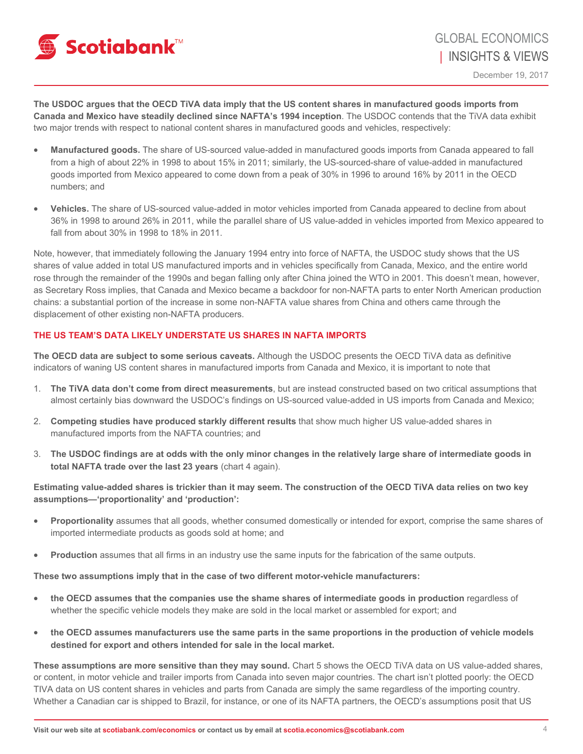

**The USDOC argues that the OECD TiVA data imply that the US content shares in manufactured goods imports from Canada and Mexico have steadily declined since NAFTA's 1994 inception**. The USDOC contends that the TiVA data exhibit two major trends with respect to national content shares in manufactured goods and vehicles, respectively:

- **Manufactured goods.** The share of US-sourced value-added in manufactured goods imports from Canada appeared to fall from a high of about 22% in 1998 to about 15% in 2011; similarly, the US-sourced-share of value-added in manufactured goods imported from Mexico appeared to come down from a peak of 30% in 1996 to around 16% by 2011 in the OECD numbers; and
- **Vehicles.** The share of US-sourced value-added in motor vehicles imported from Canada appeared to decline from about 36% in 1998 to around 26% in 2011, while the parallel share of US value-added in vehicles imported from Mexico appeared to fall from about 30% in 1998 to 18% in 2011.

Note, however, that immediately following the January 1994 entry into force of NAFTA, the USDOC study shows that the US shares of value added in total US manufactured imports and in vehicles specifically from Canada, Mexico, and the entire world rose through the remainder of the 1990s and began falling only after China joined the WTO in 2001. This doesn't mean, however, as Secretary Ross implies, that Canada and Mexico became a backdoor for non-NAFTA parts to enter North American production chains: a substantial portion of the increase in some non-NAFTA value shares from China and others came through the displacement of other existing non-NAFTA producers.

## **THE US TEAM'S DATA LIKELY UNDERSTATE US SHARES IN NAFTA IMPORTS**

**The OECD data are subject to some serious caveats.** Although the USDOC presents the OECD TiVA data as definitive indicators of waning US content shares in manufactured imports from Canada and Mexico, it is important to note that

- 1. **The TiVA data don't come from direct measurements**, but are instead constructed based on two critical assumptions that almost certainly bias downward the USDOC's findings on US-sourced value-added in US imports from Canada and Mexico;
- 2. **Competing studies have produced starkly different results** that show much higher US value-added shares in manufactured imports from the NAFTA countries; and
- 3. **The USDOC findings are at odds with the only minor changes in the relatively large share of intermediate goods in total NAFTA trade over the last 23 years** (chart 4 again).

## **Estimating value-added shares is trickier than it may seem. The construction of the OECD TiVA data relies on two key assumptions—'proportionality' and 'production':**

- **Proportionality** assumes that all goods, whether consumed domestically or intended for export, comprise the same shares of imported intermediate products as goods sold at home; and
- **Production** assumes that all firms in an industry use the same inputs for the fabrication of the same outputs.

**These two assumptions imply that in the case of two different motor-vehicle manufacturers:** 

- **the OECD assumes that the companies use the shame shares of intermediate goods in production** regardless of whether the specific vehicle models they make are sold in the local market or assembled for export; and
- **the OECD assumes manufacturers use the same parts in the same proportions in the production of vehicle models destined for export and others intended for sale in the local market.**

**These assumptions are more sensitive than they may sound.** Chart 5 shows the OECD TiVA data on US value-added shares, or content, in motor vehicle and trailer imports from Canada into seven major countries. The chart isn't plotted poorly: the OECD TIVA data on US content shares in vehicles and parts from Canada are simply the same regardless of the importing country. Whether a Canadian car is shipped to Brazil, for instance, or one of its NAFTA partners, the OECD's assumptions posit that US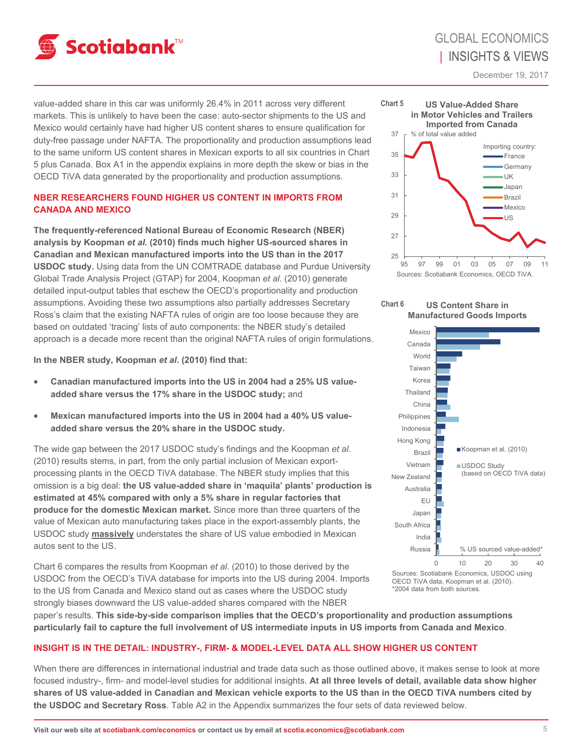

December 19, 2017

value-added share in this car was uniformly 26.4% in 2011 across very different markets. This is unlikely to have been the case: auto-sector shipments to the US and Mexico would certainly have had higher US content shares to ensure qualification for duty-free passage under NAFTA. The proportionality and production assumptions lead to the same uniform US content shares in Mexican exports to all six countries in Chart 5 plus Canada. Box A1 in the appendix explains in more depth the skew or bias in the OECD TiVA data generated by the proportionality and production assumptions.

## **NBER RESEARCHERS FOUND HIGHER US CONTENT IN IMPORTS FROM CANADA AND MEXICO**

**The frequently-referenced National Bureau of Economic Research (NBER) analysis by Koopman** *et al.* **(2010) finds much higher US-sourced shares in Canadian and Mexican manufactured imports into the US than in the 2017 USDOC study.** Using data from the UN COMTRADE database and Purdue University Global Trade Analysis Project (GTAP) for 2004, Koopman *et al*. (2010) generate detailed input-output tables that eschew the OECD's proportionality and production assumptions. Avoiding these two assumptions also partially addresses Secretary Ross's claim that the existing NAFTA rules of origin are too loose because they are based on outdated 'tracing' lists of auto components: the NBER study's detailed approach is a decade more recent than the original NAFTA rules of origin formulations.

**In the NBER study, Koopman** *et al***. (2010) find that:** 

- **Canadian manufactured imports into the US in 2004 had a 25% US valueadded share versus the 17% share in the USDOC study;** and
- **Mexican manufactured imports into the US in 2004 had a 40% US valueadded share versus the 20% share in the USDOC study.**

The wide gap between the 2017 USDOC study's findings and the Koopman *et al*. (2010) results stems, in part, from the only partial inclusion of Mexican exportprocessing plants in the OECD TiVA database. The NBER study implies that this omission is a big deal: **the US value-added share in 'maquila' plants' production is estimated at 45% compared with only a 5% share in regular factories that produce for the domestic Mexican market.** Since more than three quarters of the value of Mexican auto manufacturing takes place in the export-assembly plants, the USDOC study **massively** understates the share of US value embodied in Mexican autos sent to the US.

Chart 6 compares the results from Koopman *et al*. (2010) to those derived by the USDOC from the OECD's TiVA database for imports into the US during 2004. Imports to the US from Canada and Mexico stand out as cases where the USDOC study strongly biases downward the US value-added shares compared with the NBER



Sources: Scotiabank Economics, OECD TiVA.





Sources: Scotiabank Economics, USDOC using OECD TiVA data, Koopman et al. (2010). \*2004 data from both sources.

paper's results. **This side-by-side comparison implies that the OECD's proportionality and production assumptions particularly fail to capture the full involvement of US intermediate inputs in US imports from Canada and Mexico**.

## **INSIGHT IS IN THE DETAIL: INDUSTRY-, FIRM- & MODEL-LEVEL DATA ALL SHOW HIGHER US CONTENT**

When there are differences in international industrial and trade data such as those outlined above, it makes sense to look at more focused industry-, firm- and model-level studies for additional insights. **At all three levels of detail, available data show higher shares of US value-added in Canadian and Mexican vehicle exports to the US than in the OECD TiVA numbers cited by the USDOC and Secretary Ross**. Table A2 in the Appendix summarizes the four sets of data reviewed below.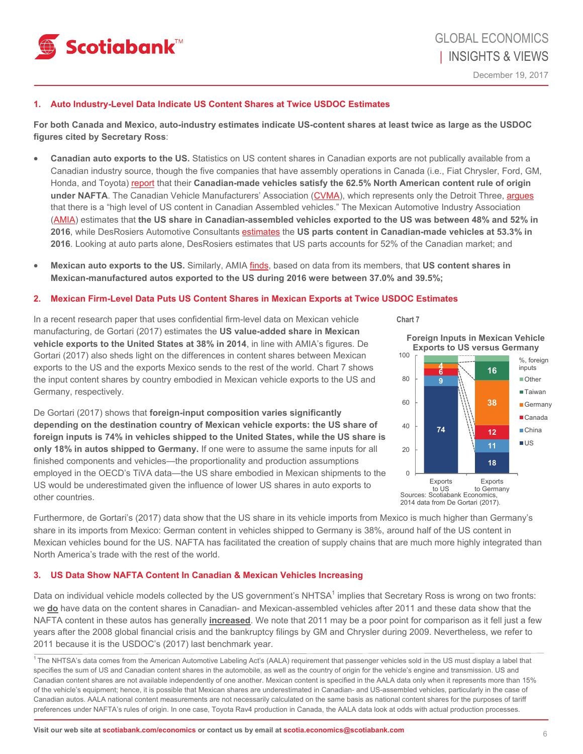

## **1. Auto Industry-Level Data Indicate US Content Shares at Twice USDOC Estimates**

**For both Canada and Mexico, auto-industry estimates indicate US-content shares at least twice as large as the USDOC figures cited by Secretary Ross**:

- **Canadian auto exports to the US.** Statistics on US content shares in Canadian exports are not publically available from a Canadian industry source, though the five companies that have assembly operations in Canada (i.e., Fiat Chrysler, Ford, GM, Honda, and Toyota) [report](https://beta.theglobeandmail.com/report-on-business/how-canadian-is-your-car-auto-makers-keep-it-closely-held-secret-nafta-buy-american/article36397942/?ref=http://www.theglobeandmail.com&) that their **Canadian-made vehicles satisfy the 62.5% North American content rule of origin under NAFTA**. The Canadian Vehicle Manufacturers' Association ([CVMA\)](http://www.cvma.ca/home/), which represents only the Detroit Three, [argues](http://www.cvma.ca/priorities/international-trade/nafta/) that there is a "high level of US content in Canadian Assembled vehicles." The Mexican Automotive Industry Association ([AMIA](http://www.amia.com.mx/)) estimates that **the US share in Canadian-assembled vehicles exported to the US was between 48% and 52% in 2016**, while DesRosiers Automotive Consultants [estimates](https://www.theglobeandmail.com/report-on-business/how-canadian-is-your-car-auto-makers-keep-it-closely-held-secret-nafta-buy-american/article36397942/) the **US parts content in Canadian-made vehicles at 53.3% in 2016**. Looking at auto parts alone, DesRosiers estimates that US parts accounts for 52% of the Canadian market; and
- **Mexican auto exports to the US.** Similarly, AMIA [finds](https://www.theglobeandmail.com/report-on-business/how-canadian-is-your-car-auto-makers-keep-it-closely-held-secret-nafta-buy-american/article36397942/), based on data from its members, that **US content shares in Mexican-manufactured autos exported to the US during 2016 were between 37.0% and 39.5%;**

#### **2. Mexican Firm-Level Data Puts US Content Shares in Mexican Exports at Twice USDOC Estimates**

In a recent research paper that uses confidential firm-level data on Mexican vehicle manufacturing, de Gortari (2017) estimates the **US value-added share in Mexican vehicle exports to the United States at 38% in 2014**, in line with AMIA's figures. De Gortari (2017) also sheds light on the differences in content shares between Mexican exports to the US and the exports Mexico sends to the rest of the world. Chart 7 shows the input content shares by country embodied in Mexican vehicle exports to the US and Germany, respectively.

De Gortari (2017) shows that **foreign-input composition varies significantly depending on the destination country of Mexican vehicle exports: the US share of foreign inputs is 74% in vehicles shipped to the United States, while the US share is only 18% in autos shipped to Germany.** If one were to assume the same inputs for all finished components and vehicles—the proportionality and production assumptions employed in the OECD's TiVA data—the US share embodied in Mexican shipments to the US would be underestimated given the influence of lower US shares in auto exports to other countries.



Furthermore, de Gortari's (2017) data show that the US share in its vehicle imports from Mexico is much higher than Germany's share in its imports from Mexico: German content in vehicles shipped to Germany is 38%, around half of the US content in Mexican vehicles bound for the US. NAFTA has facilitated the creation of supply chains that are much more highly integrated than North America's trade with the rest of the world.

## **3. US Data Show NAFTA Content In Canadian & Mexican Vehicles Increasing**

Data on individual vehicle models collected by the US government's NHTSA<sup>1</sup> implies that Secretary Ross is wrong on two fronts: we **do** have data on the content shares in Canadian- and Mexican-assembled vehicles after 2011 and these data show that the NAFTA content in these autos has generally **increased**. We note that 2011 may be a poor point for comparison as it fell just a few years after the 2008 global financial crisis and the bankruptcy filings by GM and Chrysler during 2009. Nevertheless, we refer to 2011 because it is the USDOC's (2017) last benchmark year.

1 The NHTSA's data comes from the American Automotive Labeling Act's (AALA) requirement that passenger vehicles sold in the US must display a label that specifies the sum of US and Canadian content shares in the automobile, as well as the country of origin for the vehicle's engine and transmission. US and Canadian content shares are not available independently of one another. Mexican content is specified in the AALA data only when it represents more than 15% of the vehicle's equipment; hence, it is possible that Mexican shares are underestimated in Canadian- and US-assembled vehicles, particularly in the case of Canadian autos. AALA national content measurements are not necessarily calculated on the same basis as national content shares for the purposes of tariff preferences under NAFTA's rules of origin. In one case, Toyota Rav4 production in Canada, the AALA data look at odds with actual production processes.

**Chart 7** 

**Foreign Inputs in Mexican Vehicle Exports to US versus Germany**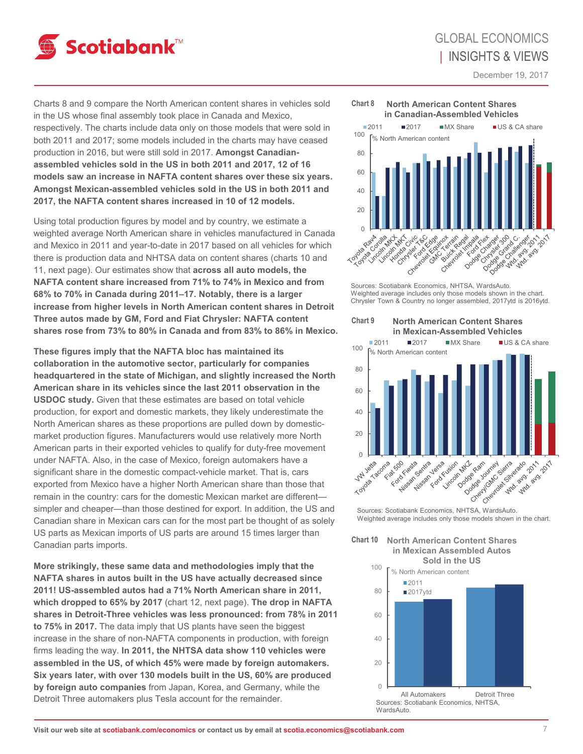

December 19, 2017

Charts 8 and 9 compare the North American content shares in vehicles sold in the US whose final assembly took place in Canada and Mexico, respectively. The charts include data only on those models that were sold in both 2011 and 2017; some models included in the charts may have ceased production in 2016, but were still sold in 2017. **Amongst Canadianassembled vehicles sold in the US in both 2011 and 2017, 12 of 16 models saw an increase in NAFTA content shares over these six years. Amongst Mexican-assembled vehicles sold in the US in both 2011 and 2017, the NAFTA content shares increased in 10 of 12 models.** 

Using total production figures by model and by country, we estimate a weighted average North American share in vehicles manufactured in Canada and Mexico in 2011 and year-to-date in 2017 based on all vehicles for which there is production data and NHTSA data on content shares (charts 10 and 11, next page). Our estimates show that **across all auto models, the NAFTA content share increased from 71% to 74% in Mexico and from 68% to 70% in Canada during 2011–17. Notably, there is a larger increase from higher levels in North American content shares in Detroit Three autos made by GM, Ford and Fiat Chrysler: NAFTA content shares rose from 73% to 80% in Canada and from 83% to 86% in Mexico.** 

**These figures imply that the NAFTA bloc has maintained its collaboration in the automotive sector, particularly for companies headquartered in the state of Michigan, and slightly increased the North American share in its vehicles since the last 2011 observation in the USDOC study.** Given that these estimates are based on total vehicle production, for export and domestic markets, they likely underestimate the North American shares as these proportions are pulled down by domesticmarket production figures. Manufacturers would use relatively more North American parts in their exported vehicles to qualify for duty-free movement under NAFTA. Also, in the case of Mexico, foreign automakers have a significant share in the domestic compact-vehicle market. That is, cars exported from Mexico have a higher North American share than those that remain in the country: cars for the domestic Mexican market are different simpler and cheaper—than those destined for export. In addition, the US and Canadian share in Mexican cars can for the most part be thought of as solely US parts as Mexican imports of US parts are around 15 times larger than Canadian parts imports.

**More strikingly, these same data and methodologies imply that the NAFTA shares in autos built in the US have actually decreased since 2011! US-assembled autos had a 71% North American share in 2011, which dropped to 65% by 2017** (chart 12, next page). **The drop in NAFTA shares in Detroit-Three vehicles was less pronounced: from 78% in 2011 to 75% in 2017.** The data imply that US plants have seen the biggest increase in the share of non-NAFTA components in production, with foreign firms leading the way. **In 2011, the NHTSA data show 110 vehicles were assembled in the US, of which 45% were made by foreign automakers. Six years later, with over 130 models built in the US, 60% are produced by foreign auto companies** from Japan, Korea, and Germany, while the Detroit Three automakers plus Tesla account for the remainder.



Sources: Scotiabank Economics, NHTSA, WardsAuto. Weighted average includes only those models shown in the chart. Chrysler Town & Country no longer assembled, 2017ytd is 2016ytd.



Weighted average includes only those models shown in the chart.



% North American content

■2011

100

 $\bigcap$  $20$ 40 60 80 All Automakers Detroit Three ■2017ytd Sources: Scotiabank Economics, NHTSA, **WardsAuto.**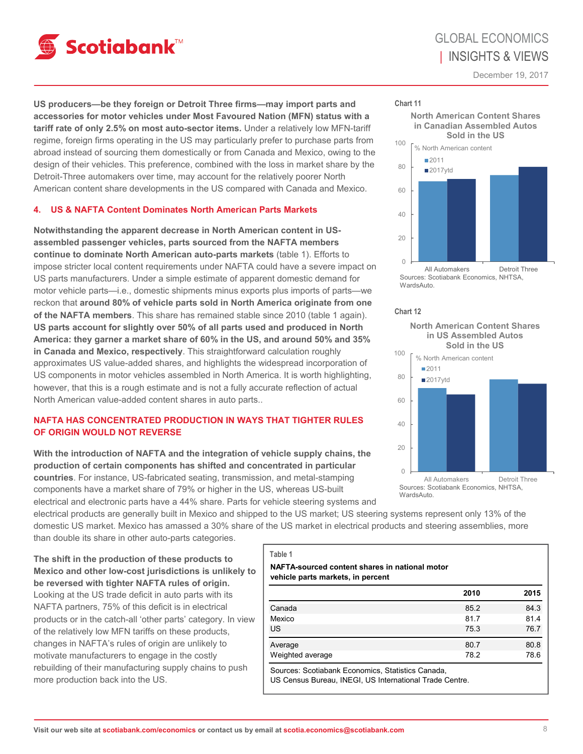

**North American Content Shares in Canadian Assembled Autos Sold in the US**

December 19, 2017

**US producers—be they foreign or Detroit Three firms—may import parts and accessories for motor vehicles under Most Favoured Nation (MFN) status with a tariff rate of only 2.5% on most auto-sector items.** Under a relatively low MFN-tariff regime, foreign firms operating in the US may particularly prefer to purchase parts from abroad instead of sourcing them domestically or from Canada and Mexico, owing to the design of their vehicles. This preference, combined with the loss in market share by the Detroit-Three automakers over time, may account for the relatively poorer North American content share developments in the US compared with Canada and Mexico.

## **4. US & NAFTA Content Dominates North American Parts Markets**

**Notwithstanding the apparent decrease in North American content in USassembled passenger vehicles, parts sourced from the NAFTA members continue to dominate North American auto-parts markets** (table 1). Efforts to impose stricter local content requirements under NAFTA could have a severe impact on US parts manufacturers. Under a simple estimate of apparent domestic demand for motor vehicle parts—i.e., domestic shipments minus exports plus imports of parts—we reckon that **around 80% of vehicle parts sold in North America originate from one of the NAFTA members**. This share has remained stable since 2010 (table 1 again). **US parts account for slightly over 50% of all parts used and produced in North America: they garner a market share of 60% in the US, and around 50% and 35% in Canada and Mexico, respectively**. This straightforward calculation roughly approximates US value-added shares, and highlights the widespread incorporation of US components in motor vehicles assembled in North America. It is worth highlighting, however, that this is a rough estimate and is not a fully accurate reflection of actual North American value-added content shares in auto parts..

## **NAFTA HAS CONCENTRATED PRODUCTION IN WAYS THAT TIGHTER RULES OF ORIGIN WOULD NOT REVERSE**

**With the introduction of NAFTA and the integration of vehicle supply chains, the production of certain components has shifted and concentrated in particular countries**. For instance, US-fabricated seating, transmission, and metal-stamping components have a market share of 79% or higher in the US, whereas US-built

electrical and electronic parts have a 44% share. Parts for vehicle steering systems and

electrical products are generally built in Mexico and shipped to the US market; US steering systems represent only 13% of the domestic US market. Mexico has amassed a 30% share of the US market in electrical products and steering assemblies, more than double its share in other auto-parts categories.

**The shift in the production of these products to Mexico and other low-cost jurisdictions is unlikely to be reversed with tighter NAFTA rules of origin.**  Looking at the US trade deficit in auto parts with its NAFTA partners, 75% of this deficit is in electrical products or in the catch-all 'other parts' category. In view of the relatively low MFN tariffs on these products, changes in NAFTA's rules of origin are unlikely to motivate manufacturers to engage in the costly rebuilding of their manufacturing supply chains to push more production back into the US.

#### **Table 1**

### **NAFTA-sourced content shares in national motor vehicle parts markets, in percent**

|                  | 2010 | 2015 |
|------------------|------|------|
| Canada           | 85.2 | 84.3 |
| Mexico           | 81.7 | 81.4 |
| <b>US</b>        | 75.3 | 76.7 |
| Average          | 80.7 | 80.8 |
| Weighted average | 78.2 | 78.6 |

0

**WardsAuto** 

20

 $40$ 

60

80

■2011 ■2017ytd

% North American content

100

**Chart 11** 

Sources: Scotiabank Economics, Statistics Canada,

US Census Bureau, INEGI, US International Trade Centre.

**North American Content Shares in US Assembled Autos Chart 12** 

All Automakers Detroit Three

Sources: Scotiabank Economics, NHTSA,

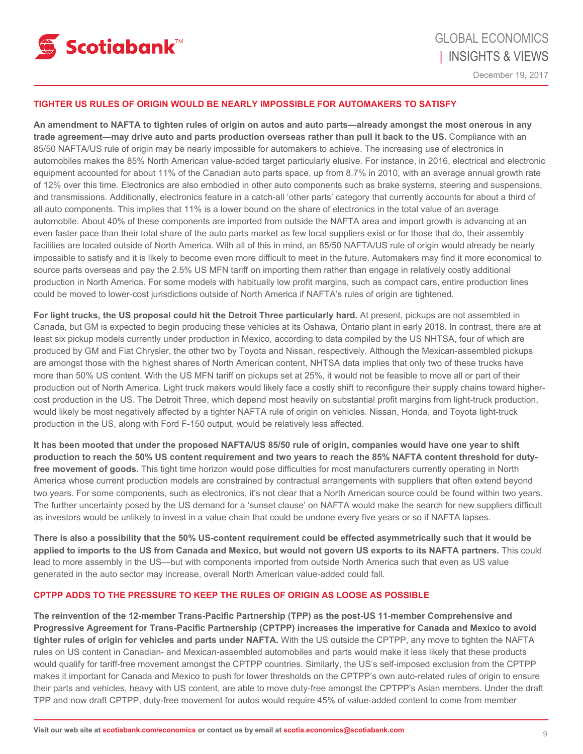

### **TIGHTER US RULES OF ORIGIN WOULD BE NEARLY IMPOSSIBLE FOR AUTOMAKERS TO SATISFY**

**An amendment to NAFTA to tighten rules of origin on autos and auto parts—already amongst the most onerous in any trade agreement—may drive auto and parts production overseas rather than pull it back to the US.** Compliance with an 85/50 NAFTA/US rule of origin may be nearly impossible for automakers to achieve. The increasing use of electronics in automobiles makes the 85% North American value-added target particularly elusive. For instance, in 2016, electrical and electronic equipment accounted for about 11% of the Canadian auto parts space, up from 8.7% in 2010, with an average annual growth rate of 12% over this time. Electronics are also embodied in other auto components such as brake systems, steering and suspensions, and transmissions. Additionally, electronics feature in a catch-all 'other parts' category that currently accounts for about a third of all auto components. This implies that 11% is a lower bound on the share of electronics in the total value of an average automobile. About 40% of these components are imported from outside the NAFTA area and import growth is advancing at an even faster pace than their total share of the auto parts market as few local suppliers exist or for those that do, their assembly facilities are located outside of North America. With all of this in mind, an 85/50 NAFTA/US rule of origin would already be nearly impossible to satisfy and it is likely to become even more difficult to meet in the future. Automakers may find it more economical to source parts overseas and pay the 2.5% US MFN tariff on importing them rather than engage in relatively costly additional production in North America. For some models with habitually low profit margins, such as compact cars, entire production lines could be moved to lower-cost jurisdictions outside of North America if NAFTA's rules of origin are tightened.

**For light trucks, the US proposal could hit the Detroit Three particularly hard.** At present, pickups are not assembled in Canada, but GM is expected to begin producing these vehicles at its Oshawa, Ontario plant in early 2018. In contrast, there are at least six pickup models currently under production in Mexico, according to data compiled by the US NHTSA, four of which are produced by GM and Fiat Chrysler, the other two by Toyota and Nissan, respectively. Although the Mexican-assembled pickups are amongst those with the highest shares of North American content, NHTSA data implies that only two of these trucks have more than 50% US content. With the US MFN tariff on pickups set at 25%, it would not be feasible to move all or part of their production out of North America. Light truck makers would likely face a costly shift to reconfigure their supply chains toward highercost production in the US. The Detroit Three, which depend most heavily on substantial profit margins from light-truck production, would likely be most negatively affected by a tighter NAFTA rule of origin on vehicles. Nissan, Honda, and Toyota light-truck production in the US, along with Ford F-150 output, would be relatively less affected.

**It has been mooted that under the proposed NAFTA/US 85/50 rule of origin, companies would have one year to shift production to reach the 50% US content requirement and two years to reach the 85% NAFTA content threshold for dutyfree movement of goods.** This tight time horizon would pose difficulties for most manufacturers currently operating in North America whose current production models are constrained by contractual arrangements with suppliers that often extend beyond two years. For some components, such as electronics, it's not clear that a North American source could be found within two years. The further uncertainty posed by the US demand for a 'sunset clause' on NAFTA would make the search for new suppliers difficult as investors would be unlikely to invest in a value chain that could be undone every five years or so if NAFTA lapses.

**There is also a possibility that the 50% US-content requirement could be effected asymmetrically such that it would be applied to imports to the US from Canada and Mexico, but would not govern US exports to its NAFTA partners.** This could lead to more assembly in the US—but with components imported from outside North America such that even as US value generated in the auto sector may increase, overall North American value-added could fall.

### **CPTPP ADDS TO THE PRESSURE TO KEEP THE RULES OF ORIGIN AS LOOSE AS POSSIBLE**

**The reinvention of the 12-member Trans-Pacific Partnership (TPP) as the post-US 11-member Comprehensive and Progressive Agreement for Trans-Pacific Partnership (CPTPP) increases the imperative for Canada and Mexico to avoid tighter rules of origin for vehicles and parts under NAFTA.** With the US outside the CPTPP, any move to tighten the NAFTA rules on US content in Canadian- and Mexican-assembled automobiles and parts would make it less likely that these products would qualify for tariff-free movement amongst the CPTPP countries. Similarly, the US's self-imposed exclusion from the CPTPP makes it important for Canada and Mexico to push for lower thresholds on the CPTPP's own auto-related rules of origin to ensure their parts and vehicles, heavy with US content, are able to move duty-free amongst the CPTPP's Asian members. Under the draft TPP and now draft CPTPP, duty-free movement for autos would require 45% of value-added content to come from member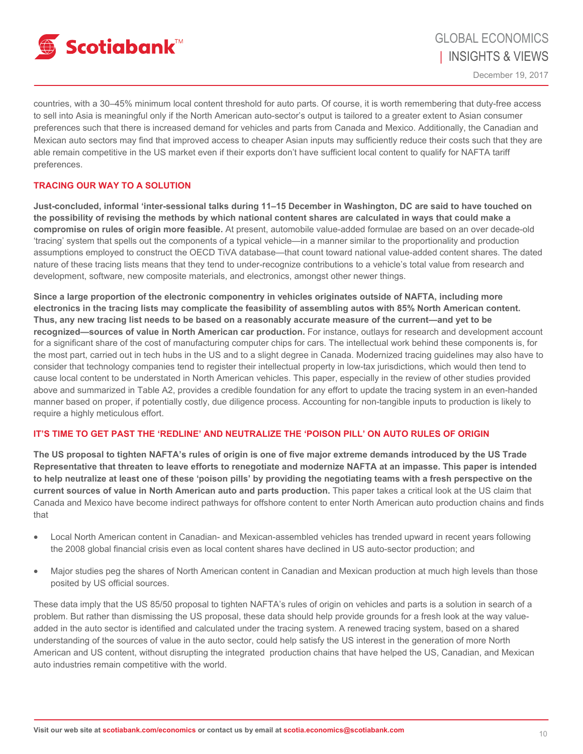

countries, with a 30–45% minimum local content threshold for auto parts. Of course, it is worth remembering that duty-free access to sell into Asia is meaningful only if the North American auto-sector's output is tailored to a greater extent to Asian consumer preferences such that there is increased demand for vehicles and parts from Canada and Mexico. Additionally, the Canadian and Mexican auto sectors may find that improved access to cheaper Asian inputs may sufficiently reduce their costs such that they are able remain competitive in the US market even if their exports don't have sufficient local content to qualify for NAFTA tariff preferences.

## **TRACING OUR WAY TO A SOLUTION**

**Just-concluded, informal 'inter-sessional talks during 11–15 December in Washington, DC are said to have touched on the possibility of revising the methods by which national content shares are calculated in ways that could make a compromise on rules of origin more feasible.** At present, automobile value-added formulae are based on an over decade-old 'tracing' system that spells out the components of a typical vehicle—in a manner similar to the proportionality and production assumptions employed to construct the OECD TiVA database—that count toward national value-added content shares. The dated nature of these tracing lists means that they tend to under-recognize contributions to a vehicle's total value from research and development, software, new composite materials, and electronics, amongst other newer things.

**Since a large proportion of the electronic componentry in vehicles originates outside of NAFTA, including more electronics in the tracing lists may complicate the feasibility of assembling autos with 85% North American content. Thus, any new tracing list needs to be based on a reasonably accurate measure of the current—and yet to be recognized—sources of value in North American car production.** For instance, outlays for research and development account for a significant share of the cost of manufacturing computer chips for cars. The intellectual work behind these components is, for the most part, carried out in tech hubs in the US and to a slight degree in Canada. Modernized tracing guidelines may also have to consider that technology companies tend to register their intellectual property in low-tax jurisdictions, which would then tend to cause local content to be understated in North American vehicles. This paper, especially in the review of other studies provided above and summarized in Table A2, provides a credible foundation for any effort to update the tracing system in an even-handed manner based on proper, if potentially costly, due diligence process. Accounting for non-tangible inputs to production is likely to require a highly meticulous effort.

## **IT'S TIME TO GET PAST THE 'REDLINE' AND NEUTRALIZE THE 'POISON PILL' ON AUTO RULES OF ORIGIN**

**The US proposal to tighten NAFTA's rules of origin is one of five major extreme demands introduced by the US Trade Representative that threaten to leave efforts to renegotiate and modernize NAFTA at an impasse. This paper is intended to help neutralize at least one of these 'poison pills' by providing the negotiating teams with a fresh perspective on the current sources of value in North American auto and parts production.** This paper takes a critical look at the US claim that Canada and Mexico have become indirect pathways for offshore content to enter North American auto production chains and finds that

- Local North American content in Canadian- and Mexican-assembled vehicles has trended upward in recent years following the 2008 global financial crisis even as local content shares have declined in US auto-sector production; and
- Major studies peg the shares of North American content in Canadian and Mexican production at much high levels than those posited by US official sources.

These data imply that the US 85/50 proposal to tighten NAFTA's rules of origin on vehicles and parts is a solution in search of a problem. But rather than dismissing the US proposal, these data should help provide grounds for a fresh look at the way valueadded in the auto sector is identified and calculated under the tracing system. A renewed tracing system, based on a shared understanding of the sources of value in the auto sector, could help satisfy the US interest in the generation of more North American and US content, without disrupting the integrated production chains that have helped the US, Canadian, and Mexican auto industries remain competitive with the world.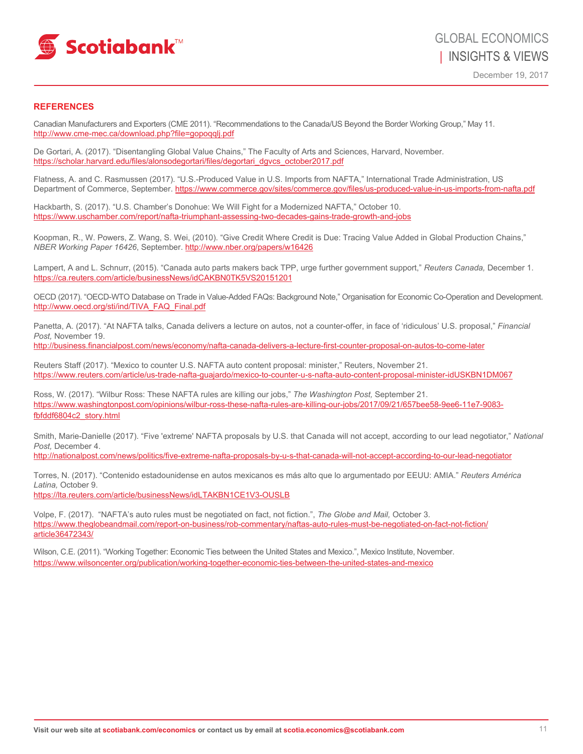

### **REFERENCES**

Canadian Manufacturers and Exporters (CME 2011). "Recommendations to the Canada/US Beyond the Border Working Group," May 11. <http://www.cme-mec.ca/download.php?file=gopoqqlj.pdf>

De Gortari, A. (2017). "Disentangling Global Value Chains," The Faculty of Arts and Sciences, Harvard, November. https://scholar.harvard.edu/files/alonsodegortari/files/degortari\_dgvcs\_october2017.pdf

Flatness, A. and C. Rasmussen (2017). "U.S.-Produced Value in U.S. Imports from NAFTA," International Trade Administration, US Department of Commerce, September. https://www.commerce.gov/sites/commerce.gov/files/us-produced-value-in-us-imports-from-nafta.pdf

Hackbarth, S. (2017). "U.S. Chamber's Donohue: We Will Fight for a Modernized NAFTA," October 10. <https://www.uschamber.com/report/nafta-triumphant-assessing-two-decades-gains-trade-growth-and-jobs>

Koopman, R., W. Powers, Z. Wang, S. Wei, (2010). "Give Credit Where Credit is Due: Tracing Value Added in Global Production Chains," *NBER Working Paper 16426*, September. <http://www.nber.org/papers/w16426>

Lampert, A and L. Schnurr, (2015). "Canada auto parts makers back TPP, urge further government support," *Reuters Canada,* December 1. https://ca.reuters.com/article/businessNews/idCAKBN0TK5VS20151201

OECD (2017). "OECD-WTO Database on Trade in Value-Added FAQs: Background Note," Organisation for Economic Co-Operation and Development. http://www.oecd.org/sti/ind/TIVA\_FAQ\_Final.pdf

Panetta, A. (2017). "At NAFTA talks, Canada delivers a lecture on autos, not a counter-offer, in face of 'ridiculous' U.S. proposal," *Financial Post,* November 19.

http://business.financialpost.com/news/economy/nafta-canada-delivers-a-lecture-first-counter-proposal-on-autos-to-come-later

Reuters Staff (2017). "Mexico to counter U.S. NAFTA auto content proposal: minister," Reuters, November 21. <https://www.reuters.com/article/us-trade-nafta-guajardo/mexico-to-counter-u-s-nafta-auto-content-proposal-minister-idUSKBN1DM067>

Ross, W. (2017). "Wilbur Ross: These NAFTA rules are killing our jobs," *The Washington Post,* September 21. https://www.washingtonpost.com/opinions/wilbur-ross-these-nafta-rules-are-killing-our-jobs/2017/09/21/657bee58-9ee6-11e7-9083 fbfddf6804c2\_story.html

Smith, Marie-Danielle (2017). "Five 'extreme' NAFTA proposals by U.S. that Canada will not accept, according to our lead negotiator," *National Post,* December 4.

<http://nationalpost.com/news/politics/five-extreme-nafta-proposals-by-u-s-that-canada-will-not-accept-according-to-our-lead-negotiator>

Torres, N. (2017). "Contenido estadounidense en autos mexicanos es más alto que lo argumentado por EEUU: AMIA." *Reuters América Latina,* October 9.

https://lta.reuters.com/article/businessNews/idLTAKBN1CE1V3-OUSLB

Volpe, F. (2017). "NAFTA's auto rules must be negotiated on fact, not fiction.", *The Globe and Mail,* October 3. https://www.theglobeandmail.com/report-on-business/rob-commentary/naftas-auto-rules-must-be-negotiated-on-fact-not-fiction/ article36472343/

Wilson, C.E. (2011). "Working Together: Economic Ties between the United States and Mexico.", Mexico Institute, November. <https://www.wilsoncenter.org/publication/working-together-economic-ties-between-the-united-states-and-mexico>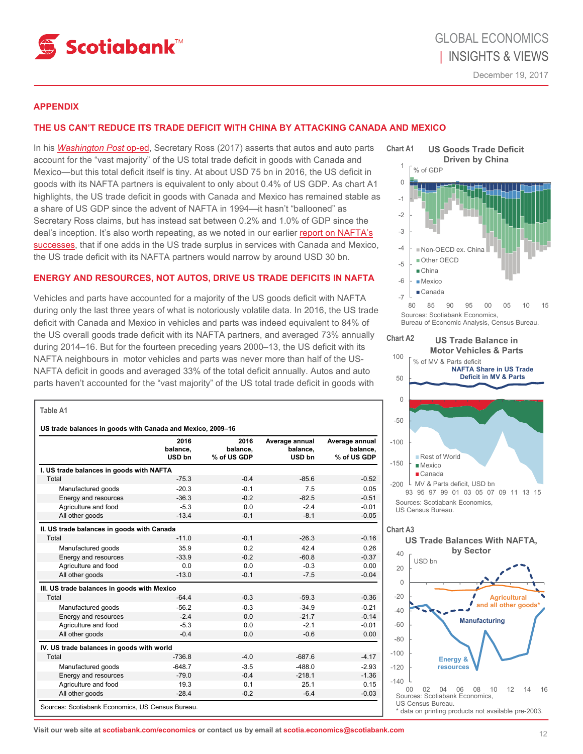

### **APPENDIX**

## **THE US CAN'T REDUCE ITS TRADE DEFICIT WITH CHINA BY ATTACKING CANADA AND MEXICO**

In his *[Washington Post](https://www.washingtonpost.com/opinions/wilbur-ross-these-nafta-rules-are-killing-our-jobs/2017/09/21/657bee58-9ee6-11e7-9083-fbfddf6804c2_story.html?utm_ter)* op-ed, Secretary Ross (2017) asserts that autos and auto parts account for the "vast majority" of the US total trade deficit in goods with Canada and Mexico—but this total deficit itself is tiny. At about USD 75 bn in 2016, the US deficit in goods with its NAFTA partners is equivalent to only about 0.4% of US GDP. As chart A1 highlights, the US trade deficit in goods with Canada and Mexico has remained stable as a share of US GDP since the advent of NAFTA in 1994—it hasn't "ballooned" as Secretary Ross claims, but has instead sat between 0.2% and 1.0% of GDP since the deal's inception. It's also worth repeating, as we noted in our earlier [report on NAFTA's](http://www.gbm.scotiabank.com/scpt/gbm/scotiaeconomics63/2017-02-10_I&V.pdf)  [successes,](http://www.gbm.scotiabank.com/scpt/gbm/scotiaeconomics63/2017-02-10_I&V.pdf) that if one adds in the US trade surplus in services with Canada and Mexico, the US trade deficit with its NAFTA partners would narrow by around USD 30 bn.

## **ENERGY AND RESOURCES, NOT AUTOS, DRIVE US TRADE DEFICITS IN NAFTA**

Vehicles and parts have accounted for a majority of the US goods deficit with NAFTA during only the last three years of what is notoriously volatile data. In 2016, the US trade deficit with Canada and Mexico in vehicles and parts was indeed equivalent to 84% of the US overall goods trade deficit with its NAFTA partners, and averaged 73% annually during 2014–16. But for the fourteen preceding years 2000–13, the US deficit with its NAFTA neighbours in motor vehicles and parts was never more than half of the US-NAFTA deficit in goods and averaged 33% of the total deficit annually. Autos and auto parts haven't accounted for the "vast majority" of the US total trade deficit in goods with

#### **Table A1**

|                                             | 2016<br>balance.<br>USD bn | 2016<br>balance.<br>% of US GDP | Average annual<br>balance.<br>USD bn | Average annual<br>balance,<br>% of US GDP |
|---------------------------------------------|----------------------------|---------------------------------|--------------------------------------|-------------------------------------------|
| I. US trade balances in goods with NAFTA    |                            |                                 |                                      |                                           |
| Total                                       | $-75.3$                    | $-0.4$                          | $-85.6$                              | $-0.52$                                   |
| Manufactured goods                          | $-20.3$                    | $-0.1$                          | 7.5                                  | 0.05                                      |
| Energy and resources                        | $-36.3$                    | $-0.2$                          | $-82.5$                              | $-0.51$                                   |
| Agriculture and food                        | $-5.3$                     | 0.0                             | $-2.4$                               | $-0.01$                                   |
| All other goods                             | $-13.4$                    | $-0.1$                          | $-8.1$                               | $-0.05$                                   |
| II. US trade balances in goods with Canada  |                            |                                 |                                      |                                           |
| Total                                       | $-11.0$                    | $-0.1$                          | $-26.3$                              | $-0.16$                                   |
| Manufactured goods                          | 35.9                       | 0.2                             | 42.4                                 | 0.26                                      |
| Energy and resources                        | $-33.9$                    | $-0.2$                          | $-60.8$                              | $-0.37$                                   |
| Agriculture and food                        | 0.0                        | 0.0                             | $-0.3$                               | 0.00                                      |
| All other goods                             | $-13.0$                    | $-0.1$                          | $-7.5$                               | $-0.04$                                   |
| III. US trade balances in goods with Mexico |                            |                                 |                                      |                                           |
| Total                                       | $-64.4$                    | $-0.3$                          | $-59.3$                              | $-0.36$                                   |
| Manufactured goods                          | $-56.2$                    | $-0.3$                          | $-34.9$                              | $-0.21$                                   |
| Energy and resources                        | $-2.4$                     | 0.0                             | $-21.7$                              | $-0.14$                                   |
| Agriculture and food                        | $-5.3$                     | 0.0                             | $-2.1$                               | $-0.01$                                   |
| All other goods                             | $-0.4$                     | 0.0                             | $-0.6$                               | 0.00                                      |
| IV. US trade balances in goods with world   |                            |                                 |                                      |                                           |
| Total                                       | $-736.8$                   | $-4.0$                          | $-687.6$                             | $-4.17$                                   |
| Manufactured goods                          | $-648.7$                   | $-3.5$                          | $-488.0$                             | $-2.93$                                   |
| Energy and resources                        | $-79.0$                    | $-0.4$                          | $-218.1$                             | $-1.36$                                   |
| Agriculture and food                        | 19.3                       | 0.1                             | 25.1                                 | 0.15                                      |
| All other goods                             | $-28.4$                    | $-0.2$                          | $-6.4$                               | $-0.03$                                   |



Bureau of Economic Analysis, Census Bureau.

#### **US Trade Balance in Motor Vehicles & Parts Chart A2**



## **Chart A3**



**Visit our web site at scotiabank.com/economics or contact us by email at scotia.economics@scotiabank.com**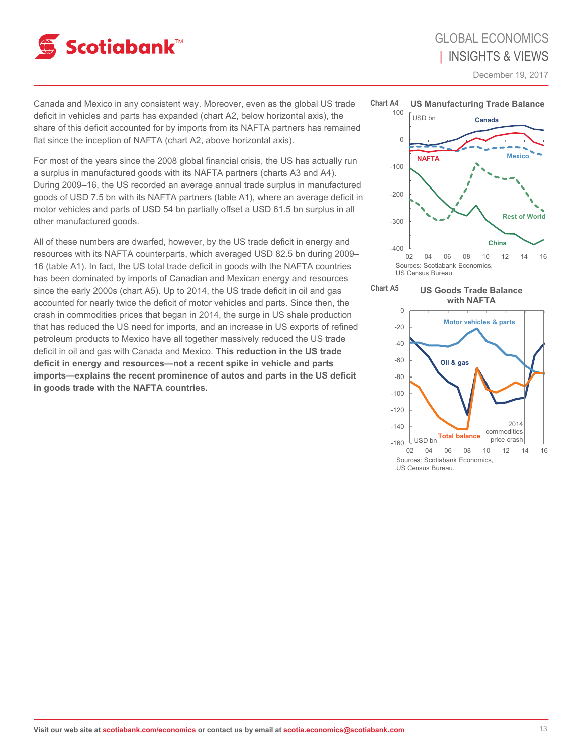

December 19, 2017

Canada and Mexico in any consistent way. Moreover, even as the global US trade deficit in vehicles and parts has expanded (chart A2, below horizontal axis), the share of this deficit accounted for by imports from its NAFTA partners has remained flat since the inception of NAFTA (chart A2, above horizontal axis).

For most of the years since the 2008 global financial crisis, the US has actually run a surplus in manufactured goods with its NAFTA partners (charts A3 and A4). During 2009–16, the US recorded an average annual trade surplus in manufactured goods of USD 7.5 bn with its NAFTA partners (table A1), where an average deficit in motor vehicles and parts of USD 54 bn partially offset a USD 61.5 bn surplus in all other manufactured goods.

All of these numbers are dwarfed, however, by the US trade deficit in energy and resources with its NAFTA counterparts, which averaged USD 82.5 bn during 2009– 16 (table A1). In fact, the US total trade deficit in goods with the NAFTA countries has been dominated by imports of Canadian and Mexican energy and resources since the early 2000s (chart A5). Up to 2014, the US trade deficit in oil and gas accounted for nearly twice the deficit of motor vehicles and parts. Since then, the crash in commodities prices that began in 2014, the surge in US shale production that has reduced the US need for imports, and an increase in US exports of refined petroleum products to Mexico have all together massively reduced the US trade deficit in oil and gas with Canada and Mexico. **This reduction in the US trade deficit in energy and resources—not a recent spike in vehicle and parts imports—explains the recent prominence of autos and parts in the US deficit in goods trade with the NAFTA countries.** 





**US Goods Trade Balance with NAFTA**

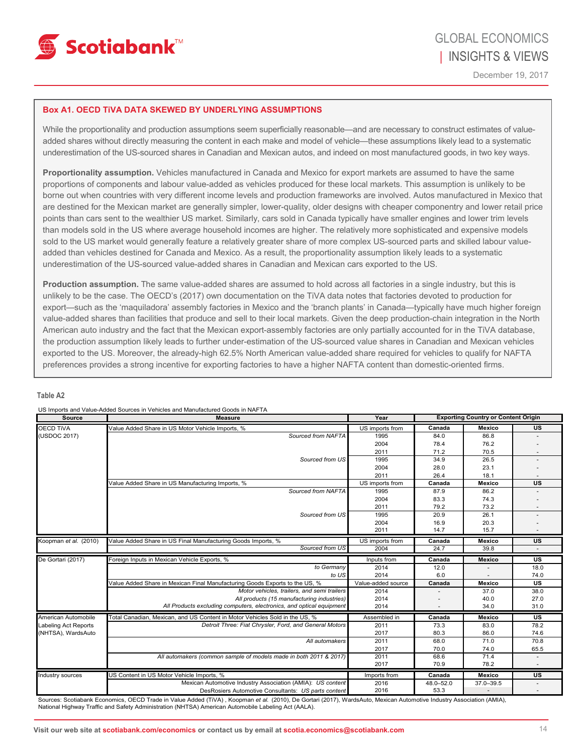

### **Box A1. OECD TiVA DATA SKEWED BY UNDERLYING ASSUMPTIONS**

While the proportionality and production assumptions seem superficially reasonable—and are necessary to construct estimates of valueadded shares without directly measuring the content in each make and model of vehicle—these assumptions likely lead to a systematic underestimation of the US-sourced shares in Canadian and Mexican autos, and indeed on most manufactured goods, in two key ways.

**Proportionality assumption.** Vehicles manufactured in Canada and Mexico for export markets are assumed to have the same proportions of components and labour value-added as vehicles produced for these local markets. This assumption is unlikely to be borne out when countries with very different income levels and production frameworks are involved. Autos manufactured in Mexico that are destined for the Mexican market are generally simpler, lower-quality, older designs with cheaper componentry and lower retail price points than cars sent to the wealthier US market. Similarly, cars sold in Canada typically have smaller engines and lower trim levels than models sold in the US where average household incomes are higher. The relatively more sophisticated and expensive models sold to the US market would generally feature a relatively greater share of more complex US-sourced parts and skilled labour valueadded than vehicles destined for Canada and Mexico. As a result, the proportionality assumption likely leads to a systematic underestimation of the US-sourced value-added shares in Canadian and Mexican cars exported to the US.

**Production assumption.** The same value-added shares are assumed to hold across all factories in a single industry, but this is unlikely to be the case. The OECD's (2017) own documentation on the TiVA data notes that factories devoted to production for export—such as the 'maquiladora' assembly factories in Mexico and the 'branch plants' in Canada—typically have much higher foreign value-added shares than facilities that produce and sell to their local markets. Given the deep production-chain integration in the North American auto industry and the fact that the Mexican export-assembly factories are only partially accounted for in the TiVA database, the production assumption likely leads to further under-estimation of the US-sourced value shares in Canadian and Mexican vehicles exported to the US. Moreover, the already-high 62.5% North American value-added share required for vehicles to qualify for NAFTA preferences provides a strong incentive for exporting factories to have a higher NAFTA content than domestic-oriented firms.

#### **Table A2**

| <b>Source</b>         | <b>Measure</b>                                                              | Year               | <b>Exporting Country or Content Origin</b> |               |           |
|-----------------------|-----------------------------------------------------------------------------|--------------------|--------------------------------------------|---------------|-----------|
| <b>OECD TIVA</b>      | Value Added Share in US Motor Vehicle Imports, %                            | US imports from    | Canada                                     | <b>Mexico</b> | US        |
| (USDOC 2017)          | Sourced from NAFTA                                                          | 1995               | 84.0                                       | 86.8          |           |
|                       |                                                                             | 2004               | 78.4                                       | 76.2          |           |
|                       |                                                                             | 2011               | 71.2                                       | 70.5          |           |
|                       | Sourced from US                                                             | 1995               | 34.9                                       | 26.5          |           |
|                       |                                                                             | 2004               | 28.0                                       | 23.1          |           |
|                       |                                                                             | 2011               | 26.4                                       | 18.1          |           |
|                       | Value Added Share in US Manufacturing Imports, %                            | US imports from    | Canada                                     | <b>Mexico</b> | <b>US</b> |
|                       | Sourced from NAFTA                                                          | 1995               | 87.9                                       | 86.2          |           |
|                       |                                                                             | 2004               | 83.3                                       | 74.3          |           |
|                       |                                                                             | 2011               | 79.2                                       | 73.2          |           |
|                       | Sourced from US                                                             | 1995               | 20.9                                       | 26.1          |           |
|                       |                                                                             | 2004               | 16.9                                       | 20.3          |           |
|                       |                                                                             | 2011               | 14.7                                       | 15.7          |           |
| Koopman et al. (2010) | Value Added Share in US Final Manufacturing Goods Imports, %                | US imports from    | Canada                                     | <b>Mexico</b> | <b>US</b> |
|                       | Sourced from US                                                             | 2004               | 24.7                                       | 39.8          |           |
| De Gortari (2017)     | Foreign Inputs in Mexican Vehicle Exports, %                                | Inputs from        | Canada                                     | <b>Mexico</b> | <b>US</b> |
|                       | to Germany                                                                  | 2014               | 12.0                                       |               | 18.0      |
|                       | to US                                                                       | 2014               | 6.0                                        |               | 74.0      |
|                       | Value Added Share in Mexican Final Manufacturing Goods Exports to the US, % | Value-added source | Canada                                     | <b>Mexico</b> | US        |
|                       | Motor vehicles, trailers, and semi trailers                                 | 2014               |                                            | 37.0          | 38.0      |
|                       | All products (15 manufacturing industries)                                  | 2014               |                                            | 40.0          | 27.0      |
|                       | All Products excluding computers, electronics, and optical equipment        | 2014               |                                            | 34.0          | 31.0      |
| American Automobile   | Total Canadian, Mexican, and US Content in Motor Vehicles Sold in the US, % | Assembled in       | Canada                                     | <b>Mexico</b> | US        |
| Labeling Act Reports  | Detroit Three: Fiat Chrysler, Ford, and General Motors                      | 2011               | 73.3                                       | 83.0          | 78.2      |
| (NHTSA), WardsAuto    |                                                                             | 2017               | 80.3                                       | 86.0          | 74.6      |
|                       | All automakers                                                              | 2011               | 68.0                                       | 71.0          | 70.8      |
|                       |                                                                             | 2017               | 70.0                                       | 74.0          | 65.5      |
|                       | All automakers (common sample of models made in both 2011 & 2017)           | 2011               | 68.6                                       | 71.4          |           |
|                       |                                                                             | 2017               | 70.9                                       | 78.2          |           |
| Industry sources      | US Content in US Motor Vehicle Imports, %                                   | Imports from       | Canada                                     | Mexico        | <b>US</b> |
|                       | Mexican Automotive Industry Association (AMIA): US content                  | 2016               | 48.0-52.0                                  | 37.0-39.5     |           |
|                       | DesRosiers Automotive Consultants: US parts content                         | 2016               | 53.3                                       |               |           |

US Imports and Value-Added Sources in Vehicles and Manufactured Goods in NAFTA

Sources: Scotiabank Economics, OECD Trade in Value Added (TiVA) , Koopman *et al.* (2010), De Gortari (2017), WardsAuto, Mexican Automotive Industry Association (AMIA), National Highway Traffic and Safety Administration (NHTSA) American Automobile Labeling Act (AALA).